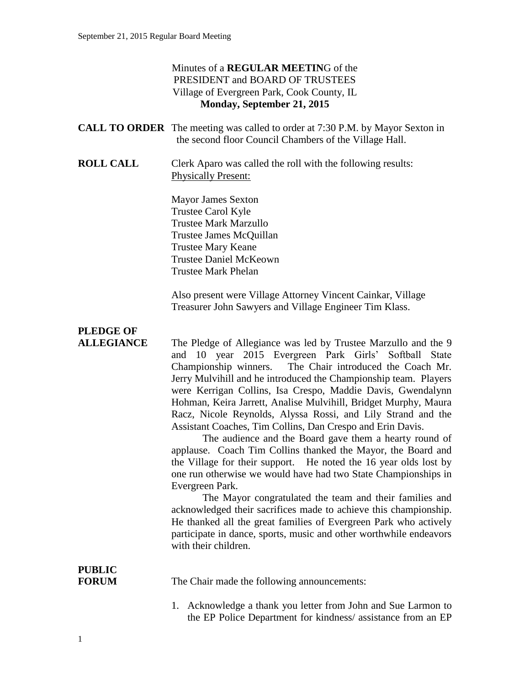## Minutes of a **REGULAR MEETIN**G of the PRESIDENT and BOARD OF TRUSTEES Village of Evergreen Park, Cook County, IL **Monday, September 21, 2015**

|                                       | <b>CALL TO ORDER</b> The meeting was called to order at 7:30 P.M. by Mayor Sexton in                                                                                                                                                                                                                                                                                                                                                                                                                                                                                                                                                                                                                                                                                                                                                                                                                                                                                                                                                                                                                           |
|---------------------------------------|----------------------------------------------------------------------------------------------------------------------------------------------------------------------------------------------------------------------------------------------------------------------------------------------------------------------------------------------------------------------------------------------------------------------------------------------------------------------------------------------------------------------------------------------------------------------------------------------------------------------------------------------------------------------------------------------------------------------------------------------------------------------------------------------------------------------------------------------------------------------------------------------------------------------------------------------------------------------------------------------------------------------------------------------------------------------------------------------------------------|
|                                       | the second floor Council Chambers of the Village Hall.                                                                                                                                                                                                                                                                                                                                                                                                                                                                                                                                                                                                                                                                                                                                                                                                                                                                                                                                                                                                                                                         |
| <b>ROLL CALL</b>                      | Clerk Aparo was called the roll with the following results:<br><b>Physically Present:</b>                                                                                                                                                                                                                                                                                                                                                                                                                                                                                                                                                                                                                                                                                                                                                                                                                                                                                                                                                                                                                      |
|                                       | <b>Mayor James Sexton</b><br>Trustee Carol Kyle<br><b>Trustee Mark Marzullo</b><br>Trustee James McQuillan<br><b>Trustee Mary Keane</b><br><b>Trustee Daniel McKeown</b><br><b>Trustee Mark Phelan</b>                                                                                                                                                                                                                                                                                                                                                                                                                                                                                                                                                                                                                                                                                                                                                                                                                                                                                                         |
|                                       | Also present were Village Attorney Vincent Cainkar, Village<br>Treasurer John Sawyers and Village Engineer Tim Klass.                                                                                                                                                                                                                                                                                                                                                                                                                                                                                                                                                                                                                                                                                                                                                                                                                                                                                                                                                                                          |
| <b>PLEDGE OF</b><br><b>ALLEGIANCE</b> | The Pledge of Allegiance was led by Trustee Marzullo and the 9<br>and 10 year 2015 Evergreen Park Girls' Softball State<br>Championship winners.<br>The Chair introduced the Coach Mr.<br>Jerry Mulvihill and he introduced the Championship team. Players<br>were Kerrigan Collins, Isa Crespo, Maddie Davis, Gwendalynn<br>Hohman, Keira Jarrett, Analise Mulvihill, Bridget Murphy, Maura<br>Racz, Nicole Reynolds, Alyssa Rossi, and Lily Strand and the<br>Assistant Coaches, Tim Collins, Dan Crespo and Erin Davis.<br>The audience and the Board gave them a hearty round of<br>applause. Coach Tim Collins thanked the Mayor, the Board and<br>the Village for their support. He noted the 16 year olds lost by<br>one run otherwise we would have had two State Championships in<br>Evergreen Park.<br>The Mayor congratulated the team and their families and<br>acknowledged their sacrifices made to achieve this championship.<br>He thanked all the great families of Evergreen Park who actively<br>participate in dance, sports, music and other worthwhile endeavors<br>with their children. |
| <b>PUBLIC</b><br><b>FORUM</b>         | The Chair made the following announcements:                                                                                                                                                                                                                                                                                                                                                                                                                                                                                                                                                                                                                                                                                                                                                                                                                                                                                                                                                                                                                                                                    |
|                                       | 1. Acknowledge a thank you letter from John and Sue Larmon to<br>the EP Police Department for kindness/ assistance from an EP                                                                                                                                                                                                                                                                                                                                                                                                                                                                                                                                                                                                                                                                                                                                                                                                                                                                                                                                                                                  |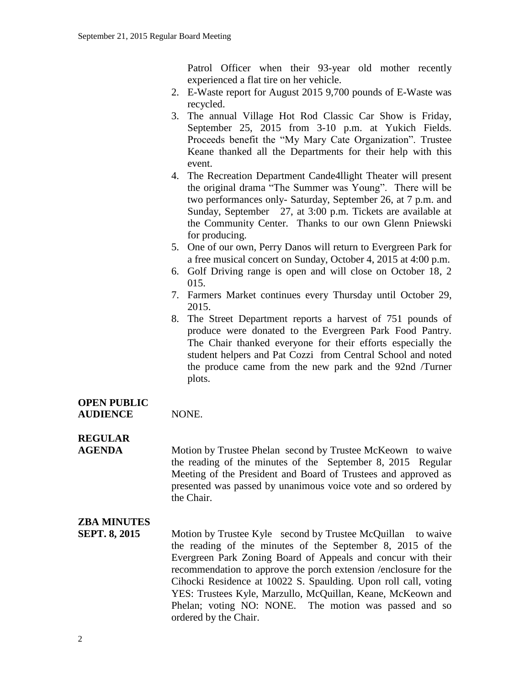Patrol Officer when their 93-year old mother recently experienced a flat tire on her vehicle.

- 2. E-Waste report for August 2015 9,700 pounds of E-Waste was recycled.
- 3. The annual Village Hot Rod Classic Car Show is Friday, September 25, 2015 from 3-10 p.m. at Yukich Fields. Proceeds benefit the "My Mary Cate Organization". Trustee Keane thanked all the Departments for their help with this event.
- 4. The Recreation Department Cande4llight Theater will present the original drama "The Summer was Young". There will be two performances only- Saturday, September 26, at 7 p.m. and Sunday, September 27, at 3:00 p.m. Tickets are available at the Community Center. Thanks to our own Glenn Pniewski for producing.
- 5. One of our own, Perry Danos will return to Evergreen Park for a free musical concert on Sunday, October 4, 2015 at 4:00 p.m.
- 6. Golf Driving range is open and will close on October 18, 2 015.
- 7. Farmers Market continues every Thursday until October 29, 2015.
- 8. The Street Department reports a harvest of 751 pounds of produce were donated to the Evergreen Park Food Pantry. The Chair thanked everyone for their efforts especially the student helpers and Pat Cozzi from Central School and noted the produce came from the new park and the 92nd /Turner plots.

## **OPEN PUBLIC** AUDIENCE NONE.

# **REGULAR**

**AGENDA** Motion by Trustee Phelan second by Trustee McKeown to waive the reading of the minutes of the September 8, 2015 Regular Meeting of the President and Board of Trustees and approved as presented was passed by unanimous voice vote and so ordered by the Chair.

## **ZBA MINUTES**

**SEPT. 8, 2015** Motion by Trustee Kyle second by Trustee McQuillan to waive the reading of the minutes of the September 8, 2015 of the Evergreen Park Zoning Board of Appeals and concur with their recommendation to approve the porch extension /enclosure for the Cihocki Residence at 10022 S. Spaulding. Upon roll call, voting YES: Trustees Kyle, Marzullo, McQuillan, Keane, McKeown and Phelan; voting NO: NONE. The motion was passed and so ordered by the Chair.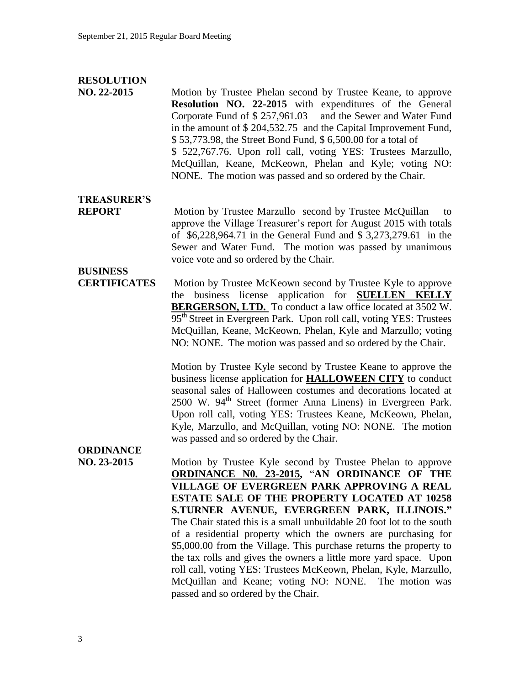#### **RESOLUTION**

**NO. 22-2015** Motion by Trustee Phelan second by Trustee Keane, to approve **Resolution NO. 22-2015** with expenditures of the General Corporate Fund of \$ 257,961.03 and the Sewer and Water Fund in the amount of \$ 204,532.75 and the Capital Improvement Fund, \$ 53,773.98, the Street Bond Fund, \$ 6,500.00 for a total of \$ 522,767.76. Upon roll call, voting YES: Trustees Marzullo, McQuillan, Keane, McKeown, Phelan and Kyle; voting NO: NONE. The motion was passed and so ordered by the Chair.

## **TREASURER'S**

**REPORT** Motion by Trustee Marzullo second by Trustee McQuillan to approve the Village Treasurer's report for August 2015 with totals of \$6,228,964.71 in the General Fund and \$ 3,273,279.61 in the Sewer and Water Fund. The motion was passed by unanimous voice vote and so ordered by the Chair.

# **BUSINESS**

**CERTIFICATES** Motion by Trustee McKeown second by Trustee Kyle to approve the business license application for **SUELLEN KELLY**  BERGERSON, LTD. To conduct a law office located at 3502 W. 95<sup>th</sup> Street in Evergreen Park. Upon roll call, voting YES: Trustees McQuillan, Keane, McKeown, Phelan, Kyle and Marzullo; voting NO: NONE. The motion was passed and so ordered by the Chair.

> Motion by Trustee Kyle second by Trustee Keane to approve the business license application for **HALLOWEEN CITY** to conduct seasonal sales of Halloween costumes and decorations located at 2500 W. 94<sup>th</sup> Street (former Anna Linens) in Evergreen Park. Upon roll call, voting YES: Trustees Keane, McKeown, Phelan, Kyle, Marzullo, and McQuillan, voting NO: NONE. The motion was passed and so ordered by the Chair.

# **ORDINANCE**

**NO. 23-2015** Motion by Trustee Kyle second by Trustee Phelan to approve **ORDINANCE N0. 23-2015,** "**AN ORDINANCE OF THE VILLAGE OF EVERGREEN PARK APPROVING A REAL ESTATE SALE OF THE PROPERTY LOCATED AT 10258 S.TURNER AVENUE, EVERGREEN PARK, ILLINOIS."** The Chair stated this is a small unbuildable 20 foot lot to the south of a residential property which the owners are purchasing for \$5,000.00 from the Village. This purchase returns the property to the tax rolls and gives the owners a little more yard space. Upon roll call, voting YES: Trustees McKeown, Phelan, Kyle, Marzullo, McQuillan and Keane; voting NO: NONE. The motion was passed and so ordered by the Chair.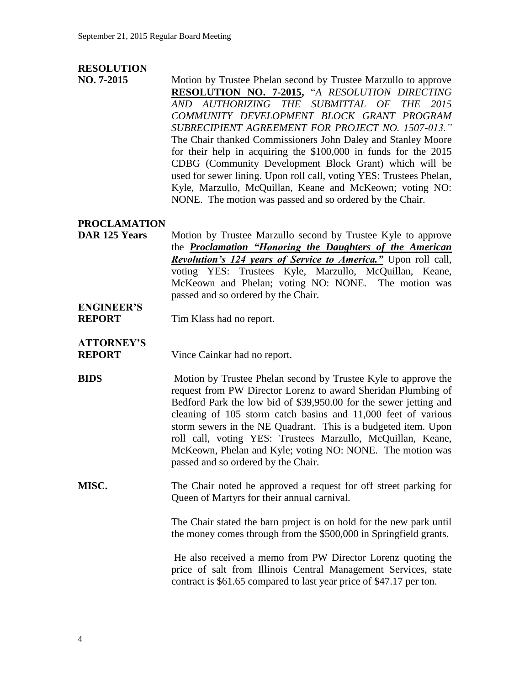## **RESOLUTION**

**NO. 7-2015** Motion by Trustee Phelan second by Trustee Marzullo to approve **RESOLUTION NO. 7-2015,** "*A RESOLUTION DIRECTING AND AUTHORIZING THE SUBMITTAL OF THE 2015 COMMUNITY DEVELOPMENT BLOCK GRANT PROGRAM SUBRECIPIENT AGREEMENT FOR PROJECT NO. 1507-013."* The Chair thanked Commissioners John Daley and Stanley Moore for their help in acquiring the \$100,000 in funds for the 2015 CDBG (Community Development Block Grant) which will be used for sewer lining. Upon roll call, voting YES: Trustees Phelan, Kyle, Marzullo, McQuillan, Keane and McKeown; voting NO: NONE. The motion was passed and so ordered by the Chair.

### **PROCLAMATION**

**DAR 125 Years** Motion by Trustee Marzullo second by Trustee Kyle to approve the *Proclamation "Honoring the Daughters of the American Revolution's 124 years of Service to America."* Upon roll call, voting YES: Trustees Kyle, Marzullo, McQuillan, Keane, McKeown and Phelan; voting NO: NONE. The motion was passed and so ordered by the Chair.

# **ENGINEER'S**

**REPORT** Tim Klass had no report.

## **ATTORNEY'S**

**REPORT** Vince Cainkar had no report.

**BIDS** Motion by Trustee Phelan second by Trustee Kyle to approve the request from PW Director Lorenz to award Sheridan Plumbing of Bedford Park the low bid of \$39,950.00 for the sewer jetting and cleaning of 105 storm catch basins and 11,000 feet of various storm sewers in the NE Quadrant. This is a budgeted item. Upon roll call, voting YES: Trustees Marzullo, McQuillan, Keane, McKeown, Phelan and Kyle; voting NO: NONE. The motion was passed and so ordered by the Chair.

### **MISC.** The Chair noted he approved a request for off street parking for Queen of Martyrs for their annual carnival.

The Chair stated the barn project is on hold for the new park until the money comes through from the \$500,000 in Springfield grants.

He also received a memo from PW Director Lorenz quoting the price of salt from Illinois Central Management Services, state contract is \$61.65 compared to last year price of \$47.17 per ton.